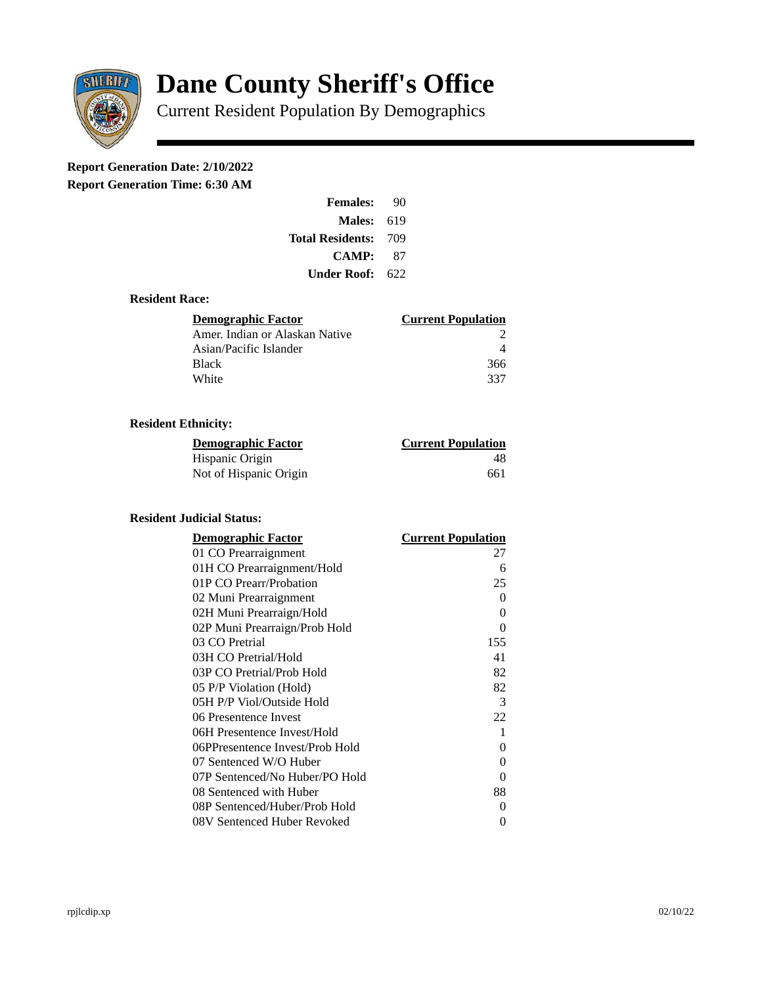

# **Dane County Sheriff's Office**

Current Resident Population By Demographics

# **Report Generation Date: 2/10/2022**

**Report Generation Time: 6:30 AM** 

| <b>Females:</b>   | 90   |
|-------------------|------|
| <b>Males: 619</b> |      |
| Total Residents:  | -709 |
| CAMP:             | 87   |
| Under Roof:       | 622  |

### **Resident Race:**

| Demographic Factor             | <b>Current Population</b> |
|--------------------------------|---------------------------|
| Amer. Indian or Alaskan Native |                           |
| Asian/Pacific Islander         |                           |
| <b>Black</b>                   | 366                       |
| White                          | 337                       |

## **Resident Ethnicity:**

| <u>Demographic Factor</u> | <u>Current Population</u> |
|---------------------------|---------------------------|
| Hispanic Origin           | 48                        |
| Not of Hispanic Origin    | 661                       |

#### **Resident Judicial Status:**

| <b>Demographic Factor</b>       | <b>Current Population</b> |
|---------------------------------|---------------------------|
| 01 CO Prearraignment            | 27                        |
| 01H CO Prearraignment/Hold      | 6                         |
| 01P CO Prearr/Probation         | 25                        |
| 02 Muni Prearraignment          | 0                         |
| 02H Muni Prearraign/Hold        | 0                         |
| 02P Muni Prearraign/Prob Hold   | 0                         |
| 03 CO Pretrial                  | 155                       |
| 03H CO Pretrial/Hold            | 41                        |
| 03P CO Pretrial/Prob Hold       | 82                        |
| 05 P/P Violation (Hold)         | 82                        |
| 05H P/P Viol/Outside Hold       | 3                         |
| 06 Presentence Invest           | 22                        |
| 06H Presentence Invest/Hold     | 1                         |
| 06PPresentence Invest/Prob Hold | 0                         |
| 07 Sentenced W/O Huber          | 0                         |
| 07P Sentenced/No Huber/PO Hold  | 0                         |
| 08 Sentenced with Huber         | 88                        |
| 08P Sentenced/Huber/Prob Hold   | 0                         |
| 08V Sentenced Huber Revoked     | 0                         |